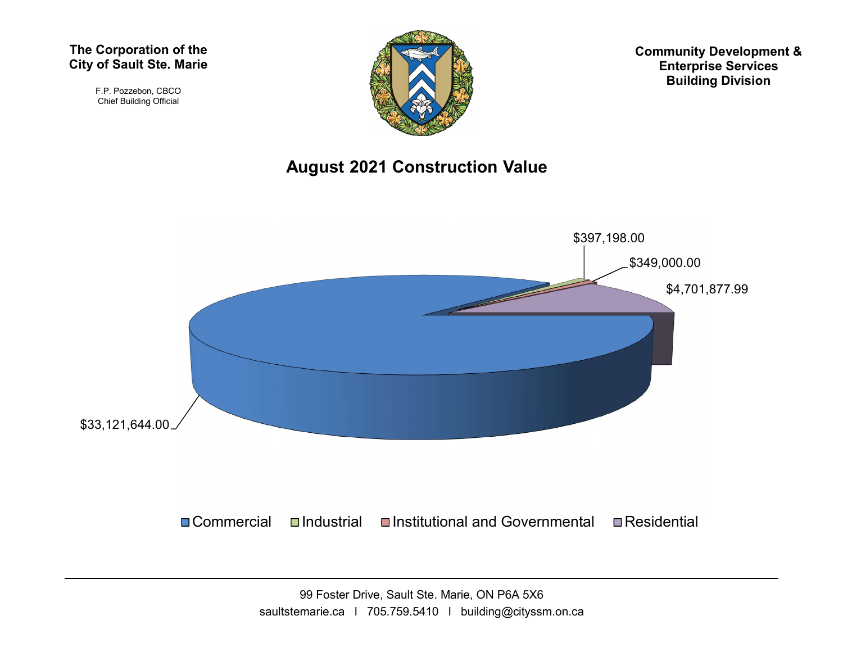#### The Corporation of the City of Sault Ste. Marie

F.P. Pozzebon, CBCO Chief Building Official



Community Development & Enterprise Services Building Division

#### August 2021 Construction Value

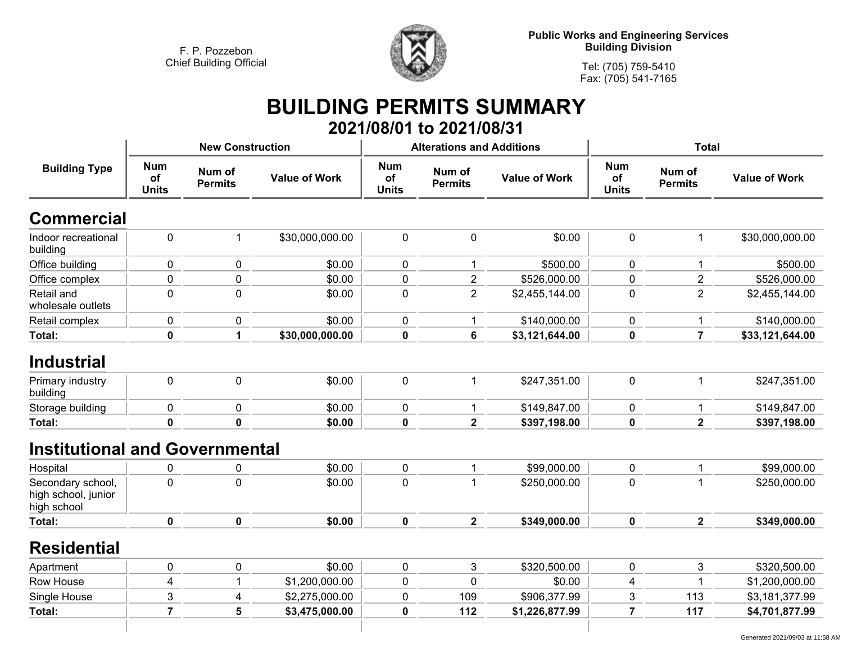

**Public Works and Engineering Services Building Division**

**Tel: (705) 759-5410 Fax: (705) 541-7165**

### **BUILDING PERMITS SUMMARY 2021/08/01 to 2021/08/31**

|                                                         |                                  | <b>New Construction</b>  |                      |                                         | <b>Alterations and Additions</b> |                      | <b>Total</b>                            |                          |                      |
|---------------------------------------------------------|----------------------------------|--------------------------|----------------------|-----------------------------------------|----------------------------------|----------------------|-----------------------------------------|--------------------------|----------------------|
| <b>Building Type</b>                                    | <b>Num</b><br>of<br><b>Units</b> | Num of<br><b>Permits</b> | <b>Value of Work</b> | <b>Num</b><br><b>of</b><br><b>Units</b> | Num of<br><b>Permits</b>         | <b>Value of Work</b> | <b>Num</b><br><b>of</b><br><b>Units</b> | Num of<br><b>Permits</b> | <b>Value of Work</b> |
| <b>Commercial</b>                                       |                                  |                          |                      |                                         |                                  |                      |                                         |                          |                      |
| Indoor recreational<br>building                         | 0                                | 1                        | \$30,000,000.00      | $\mathbf 0$                             | 0                                | \$0.00               | 0                                       | 1                        | \$30,000,000.00      |
| Office building                                         | 0                                | $\mathbf 0$              | \$0.00               | $\mathbf 0$                             | 1                                | \$500.00             | 0                                       | 1                        | \$500.00             |
| Office complex                                          | 0                                | $\pmb{0}$                | \$0.00               | $\mathbf 0$                             | $\overline{2}$                   | \$526,000.00         | $\mathbf 0$                             | $\overline{c}$           | \$526,000.00         |
| Retail and<br>wholesale outlets                         | $\mathbf 0$                      | $\mathbf 0$              | \$0.00               | $\mathbf 0$                             | $\overline{2}$                   | \$2,455,144.00       | 0                                       | $\overline{2}$           | \$2,455,144.00       |
| Retail complex                                          | 0                                | $\mathbf 0$              | \$0.00               | 0                                       | $\mathbf 1$                      | \$140,000.00         | 0                                       | 1                        | \$140,000.00         |
| Total:                                                  | 0                                | 1                        | \$30,000,000.00      | $\bf{0}$                                | 6                                | \$3,121,644.00       | $\mathbf 0$                             | $\overline{7}$           | \$33,121,644.00      |
| <b>Industrial</b>                                       |                                  |                          |                      |                                         |                                  |                      |                                         |                          |                      |
| Primary industry<br>building                            | 0                                | $\pmb{0}$                | \$0.00               | $\mathbf 0$                             | $\mathbf{1}$                     | \$247,351.00         | $\mathbf 0$                             | $\mathbf 1$              | \$247,351.00         |
| Storage building                                        | $\pmb{0}$                        | 0                        | \$0.00               | 0                                       | 1                                | \$149,847.00         | 0                                       | 1                        | \$149,847.00         |
| Total:                                                  | $\mathbf 0$                      | $\mathbf 0$              | \$0.00               | $\mathbf 0$                             | $\overline{\mathbf{2}}$          | \$397,198.00         | $\mathbf 0$                             | $\overline{\mathbf{2}}$  | \$397,198.00         |
| <b>Institutional and Governmental</b>                   |                                  |                          |                      |                                         |                                  |                      |                                         |                          |                      |
| Hospital                                                | 0                                | 0                        | \$0.00               | 0                                       | 1                                | \$99,000.00          | 0                                       | 1                        | \$99,000.00          |
| Secondary school,<br>high school, junior<br>high school | $\mathbf 0$                      | $\mathbf{0}$             | \$0.00               | $\mathbf 0$                             | 1                                | \$250,000.00         | 0                                       | 1                        | \$250,000.00         |
| Total:                                                  | $\mathbf 0$                      | 0                        | \$0.00               | $\mathbf 0$                             | $\overline{\mathbf{2}}$          | \$349,000.00         | 0                                       | $\overline{\mathbf{2}}$  | \$349,000.00         |
| <b>Residential</b>                                      |                                  |                          |                      |                                         |                                  |                      |                                         |                          |                      |
| Apartment                                               | $\mathbf 0$                      | 0                        | \$0.00               | 0                                       | 3                                | \$320,500.00         | 0                                       | 3                        | \$320,500.00         |
| Row House                                               | 4                                |                          | \$1,200,000.00       | $\mathbf 0$                             | 0                                | \$0.00               | 4                                       | 1                        | \$1,200,000.00       |
| Single House                                            | 3                                | 4                        | \$2,275,000.00       | $\mathbf 0$                             | 109                              | \$906,377.99         | 3                                       | 113                      | \$3,181,377.99       |
| Total:                                                  | $\overline{7}$                   | 5                        | \$3,475,000.00       | $\mathbf 0$                             | 112                              | \$1,226,877.99       | 7                                       | 117                      | \$4,701,877.99       |
|                                                         |                                  |                          |                      |                                         |                                  |                      |                                         |                          |                      |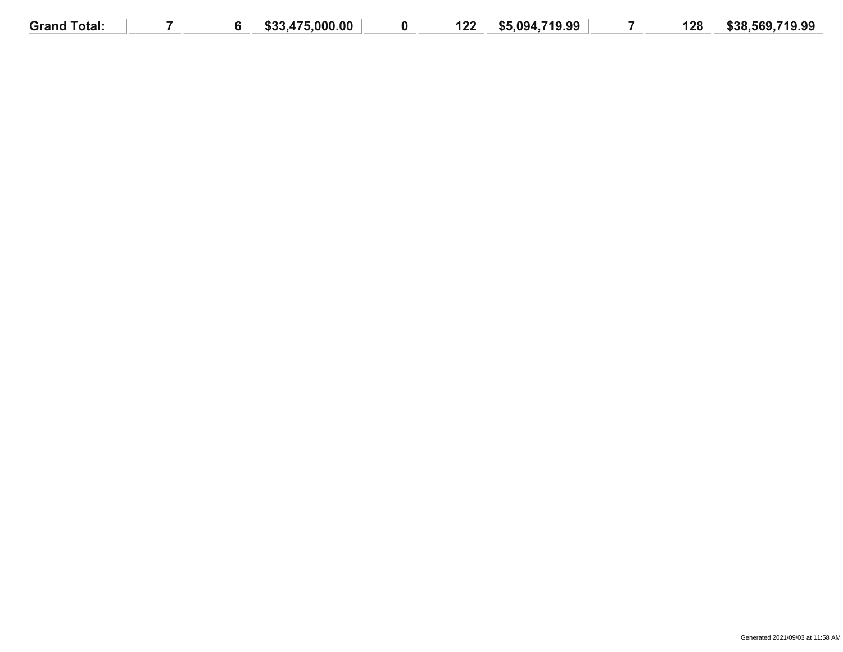| <b>Grand Total:</b> |  | \$33,475,000.00 | 122 | \$5,094,719.99 | 128 | \$38,569,719.99 |
|---------------------|--|-----------------|-----|----------------|-----|-----------------|
|                     |  |                 |     |                |     |                 |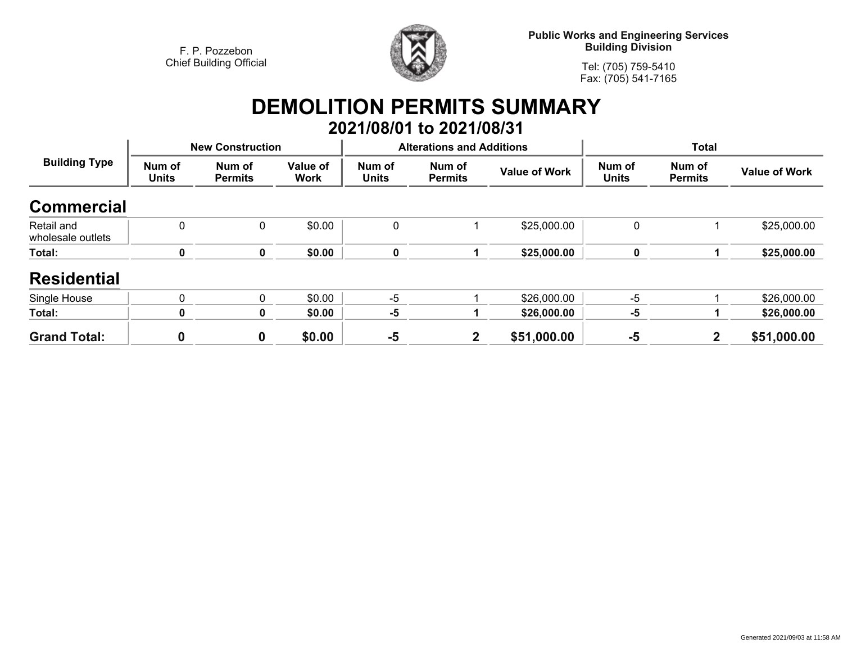

**Public Works and Engineering Services Building Division**

**Tel: (705) 759-5410 Fax: (705) 541-7165**

## **DEMOLITION PERMITS SUMMARY 2021/08/01 to 2021/08/31**

| <b>Building Type</b>            |                        | <b>New Construction</b>  |                  |                        | <b>Alterations and Additions</b> |                      | <b>Total</b>           |                          |                      |
|---------------------------------|------------------------|--------------------------|------------------|------------------------|----------------------------------|----------------------|------------------------|--------------------------|----------------------|
|                                 | Num of<br><b>Units</b> | Num of<br><b>Permits</b> | Value of<br>Work | Num of<br><b>Units</b> | Num of<br><b>Permits</b>         | <b>Value of Work</b> | Num of<br><b>Units</b> | Num of<br><b>Permits</b> | <b>Value of Work</b> |
| <b>Commercial</b>               |                        |                          |                  |                        |                                  |                      |                        |                          |                      |
| Retail and<br>wholesale outlets | $\mathbf 0$            | 0                        | \$0.00           | 0                      |                                  | \$25,000.00          | 0                      |                          | \$25,000.00          |
| Total:                          | 0                      | 0                        | \$0.00           | 0                      |                                  | \$25,000.00          | 0                      |                          | \$25,000.00          |
| <b>Residential</b>              |                        |                          |                  |                        |                                  |                      |                        |                          |                      |
| Single House                    | $\mathbf 0$            | 0                        | \$0.00           | $-5$                   |                                  | \$26,000.00          | $-5$                   |                          | \$26,000.00          |
| Total:                          | 0                      | 0                        | \$0.00           | $-5$                   |                                  | \$26,000.00          | $-5$                   |                          | \$26,000.00          |
| <b>Grand Total:</b>             | 0                      | $\bf{0}$                 | \$0.00           | $-5$                   | $\mathbf{2}$                     | \$51,000.00          | $-5$                   | $\mathbf{2}$             | \$51,000.00          |